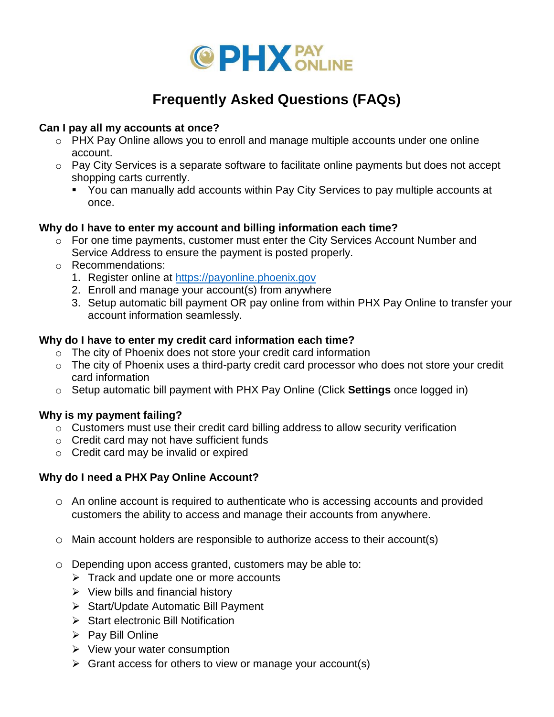

# **Frequently Asked Questions (FAQs)**

## **Can I pay all my accounts at once?**

- o PHX Pay Online allows you to enroll and manage multiple accounts under one online account.
- o Pay City Services is a separate software to facilitate online payments but does not accept shopping carts currently.
	- You can manually add accounts within Pay City Services to pay multiple accounts at once.

## **Why do I have to enter my account and billing information each time?**

- o For one time payments, customer must enter the City Services Account Number and Service Address to ensure the payment is posted properly.
- o Recommendations:
	- 1. Register online at [https://payonline.phoenix.gov](https://payonline.phoenix.gov/)
	- 2. Enroll and manage your account(s) from anywhere
	- 3. Setup automatic bill payment OR pay online from within PHX Pay Online to transfer your account information seamlessly.

# **Why do I have to enter my credit card information each time?**

- o The city of Phoenix does not store your credit card information
- o The city of Phoenix uses a third-party credit card processor who does not store your credit card information
- o Setup automatic bill payment with PHX Pay Online (Click **Settings** once logged in)

# **Why is my payment failing?**

- $\circ$  Customers must use their credit card billing address to allow security verification
- o Credit card may not have sufficient funds
- o Credit card may be invalid or expired

# **Why do I need a PHX Pay Online Account?**

- o An online account is required to authenticate who is accessing accounts and provided customers the ability to access and manage their accounts from anywhere.
- $\circ$  Main account holders are responsible to authorize access to their account(s)
- o Depending upon access granted, customers may be able to:
	- $\triangleright$  Track and update one or more accounts
	- $\triangleright$  View bills and financial history
	- $\triangleright$  Start/Update Automatic Bill Payment
	- $\triangleright$  Start electronic Bill Notification
	- $\triangleright$  Pay Bill Online
	- $\triangleright$  View your water consumption
	- $\triangleright$  Grant access for others to view or manage your account(s)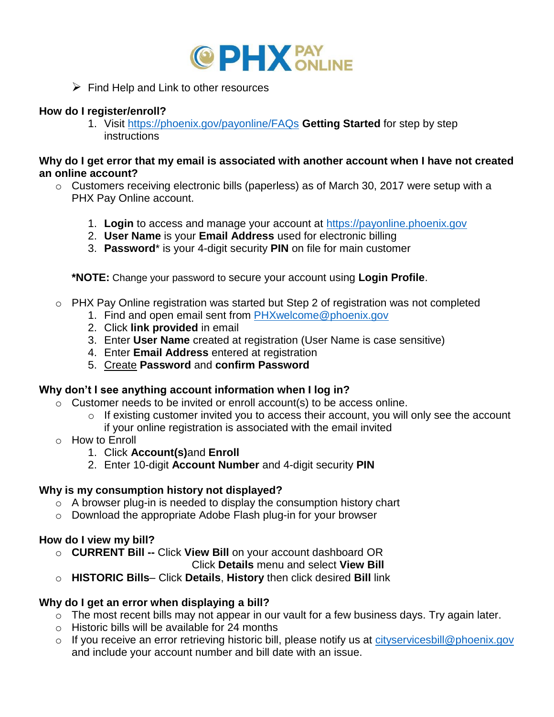

 $\triangleright$  Find Help and Link to other resources

## **How do I register/enroll?**

1. Visit <https://phoenix.gov/payonline/FAQs> **Getting Started** for step by step **instructions** 

#### **Why do I get error that my email is associated with another account when I have not created an online account?**

- o Customers receiving electronic bills (paperless) as of March 30, 2017 were setup with a PHX Pay Online account.
	- 1. **Login** to access and manage your account at [https://payonline.phoenix.gov](https://payonline.phoenix.gov/)
	- 2. **User Name** is your **Email Address** used for electronic billing
	- 3. **Password**\* is your 4-digit security **PIN** on file for main customer

**\*NOTE:** Change your password to secure your account using **Login Profile**.

- o PHX Pay Online registration was started but Step 2 of registration was not completed
	- 1. Find and open email sent from [PHXwelcome@phoenix.gov](mailto:PHXwelcome@phoenix.gov)
	- 2. Click **link provided** in email
	- 3. Enter **User Name** created at registration (User Name is case sensitive)
	- 4. Enter **Email Address** entered at registration
	- 5. Create **Password** and **confirm Password**

# **Why don't I see anything account information when I log in?**

- $\circ$  Customer needs to be invited or enroll account(s) to be access online.
	- o If existing customer invited you to access their account, you will only see the account if your online registration is associated with the email invited
- o How to Enroll
	- 1. Click **Account(s)**and **Enroll**
	- 2. Enter 10-digit **Account Number** and 4-digit security **PIN**

# **Why is my consumption history not displayed?**

- o A browser plug-in is needed to display the consumption history chart
- o Download the appropriate Adobe Flash plug-in for your browser

# **How do I view my bill?**

o **CURRENT Bill --** Click **View Bill** on your account dashboard OR

Click **Details** menu and select **View Bill**

o **HISTORIC Bills**– Click **Details**, **History** then click desired **Bill** link

# **Why do I get an error when displaying a bill?**

- o The most recent bills may not appear in our vault for a few business days. Try again later.
- o Historic bills will be available for 24 months
- o If you receive an error retrieving historic bill, please notify us at [cityservicesbill@phoenix.gov](mailto:cityservicesbill@phoenix.gov) and include your account number and bill date with an issue.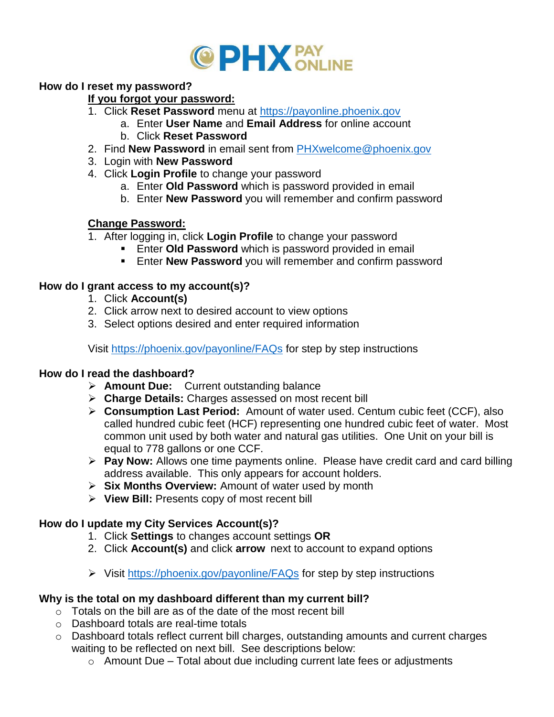

#### **How do I reset my password?**

#### **If you forgot your password:**

- 1. Click **Reset Password** menu at [https://payonline.phoenix.gov](https://payonline.phoenix.gov/)
	- a. Enter **User Name** and **Email Address** for online account
	- b. Click **Reset Password**
- 2. Find **New Password** in email sent from [PHXwelcome@phoenix.gov](mailto:PHXwelcome@phoenix.gov)
- 3. Login with **New Password**
- 4. Click **Login Profile** to change your password
	- a. Enter **Old Password** which is password provided in email
	- b. Enter **New Password** you will remember and confirm password

## **Change Password:**

- 1. After logging in, click **Login Profile** to change your password
	- **Enter Old Password** which is password provided in email
	- **Enter New Password** you will remember and confirm password

## **How do I grant access to my account(s)?**

- 1. Click **Account(s)**
- 2. Click arrow next to desired account to view options
- 3. Select options desired and enter required information

Visit<https://phoenix.gov/payonline/FAQs> for step by step instructions

#### **How do I read the dashboard?**

- **Amount Due:** Current outstanding balance
- **Charge Details:** Charges assessed on most recent bill
- **Consumption Last Period:** Amount of water used. Centum cubic feet (CCF), also called hundred cubic feet (HCF) representing one hundred cubic feet of water. Most common unit used by both water and natural gas utilities. One Unit on your bill is equal to 778 gallons or one CCF.
- **Pay Now:** Allows one time payments online. Please have credit card and card billing address available. This only appears for account holders.
- **Six Months Overview:** Amount of water used by month
- **View Bill:** Presents copy of most recent bill

#### **How do I update my City Services Account(s)?**

- 1. Click **Settings** to changes account settings **OR**
- 2. Click **Account(s)** and click **arrow** next to account to expand options
- Visit<https://phoenix.gov/payonline/FAQs> for step by step instructions

#### **Why is the total on my dashboard different than my current bill?**

- $\circ$  Totals on the bill are as of the date of the most recent bill
- o Dashboard totals are real-time totals
- o Dashboard totals reflect current bill charges, outstanding amounts and current charges waiting to be reflected on next bill. See descriptions below:
	- $\circ$  Amount Due Total about due including current late fees or adjustments